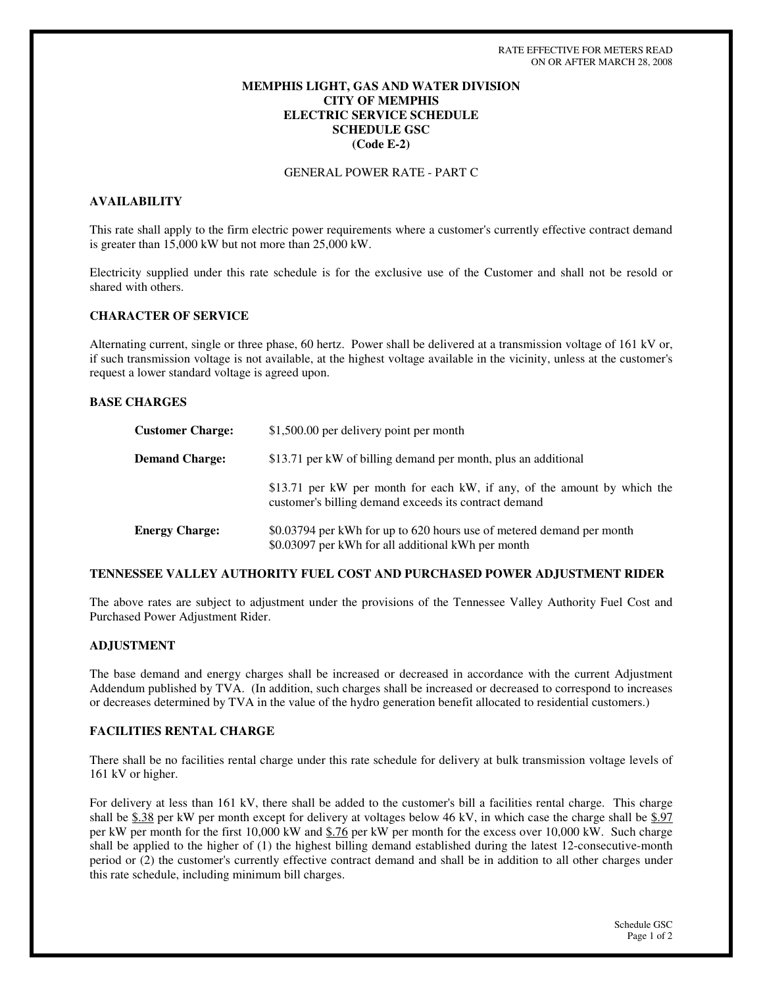# **MEMPHIS LIGHT, GAS AND WATER DIVISION CITY OF MEMPHIS ELECTRIC SERVICE SCHEDULE SCHEDULE GSC (Code E-2)**

GENERAL POWER RATE - PART C

## **AVAILABILITY**

This rate shall apply to the firm electric power requirements where a customer's currently effective contract demand is greater than 15,000 kW but not more than 25,000 kW.

Electricity supplied under this rate schedule is for the exclusive use of the Customer and shall not be resold or shared with others.

## **CHARACTER OF SERVICE**

Alternating current, single or three phase, 60 hertz. Power shall be delivered at a transmission voltage of 161 kV or, if such transmission voltage is not available, at the highest voltage available in the vicinity, unless at the customer's request a lower standard voltage is agreed upon.

### **BASE CHARGES**

| <b>Customer Charge:</b> | \$1,500.00 per delivery point per month                                                                                           |
|-------------------------|-----------------------------------------------------------------------------------------------------------------------------------|
| <b>Demand Charge:</b>   | \$13.71 per kW of billing demand per month, plus an additional                                                                    |
|                         | \$13.71 per kW per month for each kW, if any, of the amount by which the<br>customer's billing demand exceeds its contract demand |
| <b>Energy Charge:</b>   | \$0.03794 per kWh for up to 620 hours use of metered demand per month<br>\$0.03097 per kWh for all additional kWh per month       |

### **TENNESSEE VALLEY AUTHORITY FUEL COST AND PURCHASED POWER ADJUSTMENT RIDER**

The above rates are subject to adjustment under the provisions of the Tennessee Valley Authority Fuel Cost and Purchased Power Adjustment Rider.

### **ADJUSTMENT**

The base demand and energy charges shall be increased or decreased in accordance with the current Adjustment Addendum published by TVA. (In addition, such charges shall be increased or decreased to correspond to increases or decreases determined by TVA in the value of the hydro generation benefit allocated to residential customers.)

### **FACILITIES RENTAL CHARGE**

There shall be no facilities rental charge under this rate schedule for delivery at bulk transmission voltage levels of 161 kV or higher.

For delivery at less than 161 kV, there shall be added to the customer's bill a facilities rental charge. This charge shall be \$.38 per kW per month except for delivery at voltages below 46 kV, in which case the charge shall be \$.97 per kW per month for the first 10,000 kW and \$.76 per kW per month for the excess over 10,000 kW. Such charge shall be applied to the higher of (1) the highest billing demand established during the latest 12-consecutive-month period or (2) the customer's currently effective contract demand and shall be in addition to all other charges under this rate schedule, including minimum bill charges.